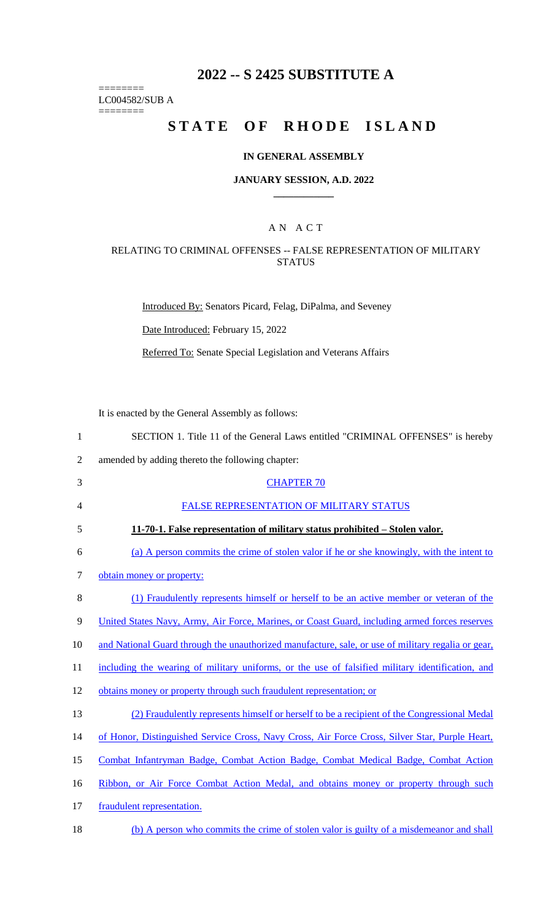# **2022 -- S 2425 SUBSTITUTE A**

LC004582/SUB A

========

========

# **STATE OF RHODE ISLAND**

#### **IN GENERAL ASSEMBLY**

#### **JANUARY SESSION, A.D. 2022 \_\_\_\_\_\_\_\_\_\_\_\_**

## A N A C T

## RELATING TO CRIMINAL OFFENSES -- FALSE REPRESENTATION OF MILITARY **STATUS**

Introduced By: Senators Picard, Felag, DiPalma, and Seveney

Date Introduced: February 15, 2022

Referred To: Senate Special Legislation and Veterans Affairs

It is enacted by the General Assembly as follows:

| $\mathbf{1}$   | SECTION 1. Title 11 of the General Laws entitled "CRIMINAL OFFENSES" is hereby                     |
|----------------|----------------------------------------------------------------------------------------------------|
| $\overline{2}$ | amended by adding thereto the following chapter:                                                   |
| 3              | <b>CHAPTER 70</b>                                                                                  |
| 4              | FALSE REPRESENTATION OF MILITARY STATUS                                                            |
| 5              | 11-70-1. False representation of military status prohibited – Stolen valor.                        |
| 6              | (a) A person commits the crime of stolen valor if he or she knowingly, with the intent to          |
| 7              | obtain money or property:                                                                          |
| 8              | (1) Fraudulently represents himself or herself to be an active member or veteran of the            |
| 9              | United States Navy, Army, Air Force, Marines, or Coast Guard, including armed forces reserves      |
| 10             | and National Guard through the unauthorized manufacture, sale, or use of military regalia or gear, |
| 11             | including the wearing of military uniforms, or the use of falsified military identification, and   |
| 12             | obtains money or property through such fraudulent representation; or                               |
| 13             | (2) Fraudulently represents himself or herself to be a recipient of the Congressional Medal        |
| 14             | of Honor, Distinguished Service Cross, Navy Cross, Air Force Cross, Silver Star, Purple Heart,     |
| 15             | Combat Infantryman Badge, Combat Action Badge, Combat Medical Badge, Combat Action                 |
| 16             | Ribbon, or Air Force Combat Action Medal, and obtains money or property through such               |
| 17             | fraudulent representation.                                                                         |

18 (b) A person who commits the crime of stolen valor is guilty of a misdemeanor and shall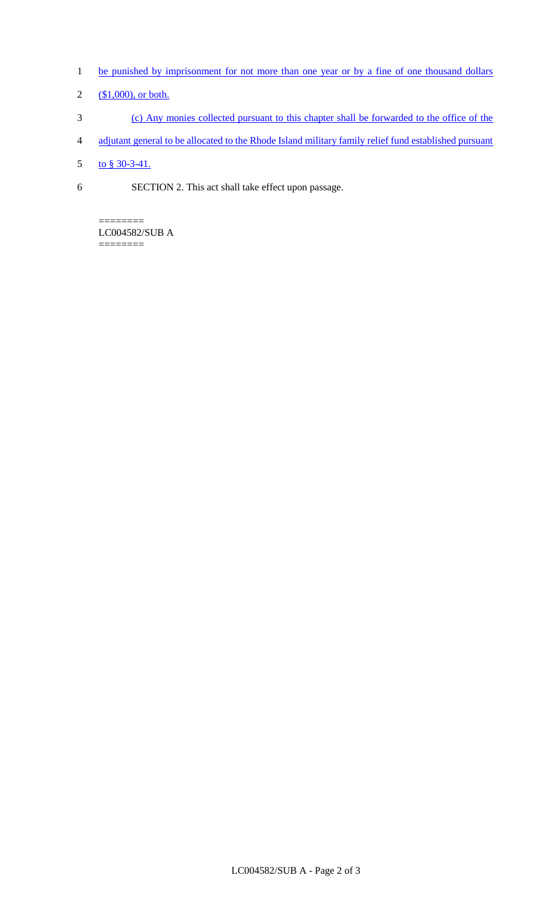- 1 be punished by imprisonment for not more than one year or by a fine of one thousand dollars
- 2  $(1,000)$ , or both.
- 3 (c) Any monies collected pursuant to this chapter shall be forwarded to the office of the
- 4 adjutant general to be allocated to the Rhode Island military family relief fund established pursuant
- 5 to  $$30-3-41$ .
- 6 SECTION 2. This act shall take effect upon passage.

======== LC004582/SUB A

========